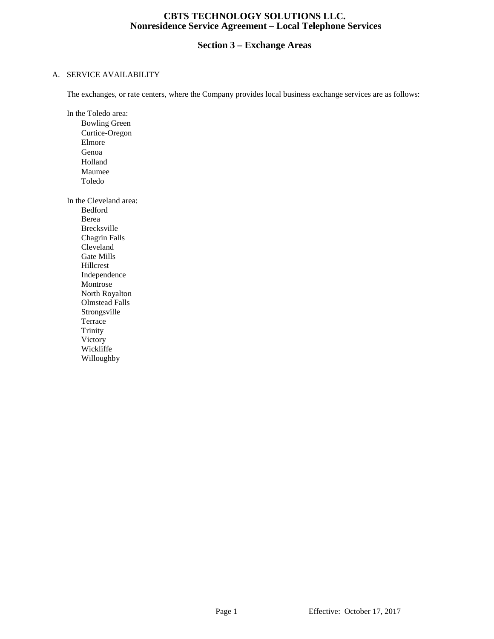## **Section 3 – Exchange Areas**

#### A. SERVICE AVAILABILITY

The exchanges, or rate centers, where the Company provides local business exchange services are as follows:

In the Toledo area:

Bowling Green Curtice-Oregon Elmore Genoa Holland Maumee Toledo

In the Cleveland area:

Bedford Berea Brecksville Chagrin Falls Cleveland Gate Mills Hillcrest Independence Montrose North Royalton Olmstead Falls Strongsville Terrace Trinity Victory Wickliffe Willoughby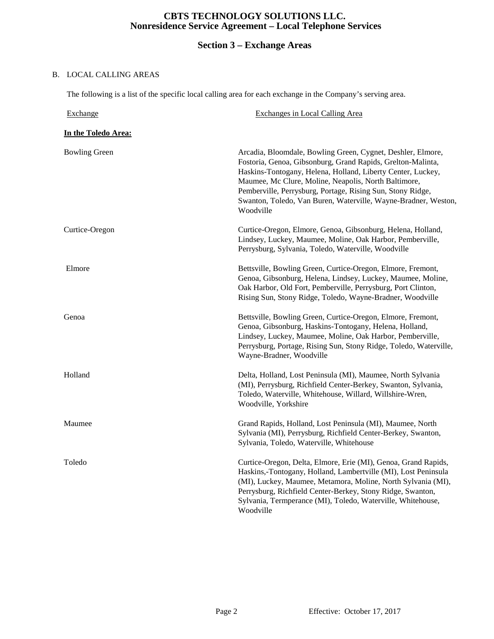## **Section 3 – Exchange Areas**

#### B. LOCAL CALLING AREAS

The following is a list of the specific local calling area for each exchange in the Company's serving area.

| Exchange             | Exchanges in Local Calling Area                                                                                                                                                                                                                                                                                                                                                                |
|----------------------|------------------------------------------------------------------------------------------------------------------------------------------------------------------------------------------------------------------------------------------------------------------------------------------------------------------------------------------------------------------------------------------------|
| In the Toledo Area:  |                                                                                                                                                                                                                                                                                                                                                                                                |
| <b>Bowling Green</b> | Arcadia, Bloomdale, Bowling Green, Cygnet, Deshler, Elmore,<br>Fostoria, Genoa, Gibsonburg, Grand Rapids, Grelton-Malinta,<br>Haskins-Tontogany, Helena, Holland, Liberty Center, Luckey,<br>Maumee, Mc Clure, Moline, Neapolis, North Baltimore,<br>Pemberville, Perrysburg, Portage, Rising Sun, Stony Ridge,<br>Swanton, Toledo, Van Buren, Waterville, Wayne-Bradner, Weston,<br>Woodville |
| Curtice-Oregon       | Curtice-Oregon, Elmore, Genoa, Gibsonburg, Helena, Holland,<br>Lindsey, Luckey, Maumee, Moline, Oak Harbor, Pemberville,<br>Perrysburg, Sylvania, Toledo, Waterville, Woodville                                                                                                                                                                                                                |
| Elmore               | Bettsville, Bowling Green, Curtice-Oregon, Elmore, Fremont,<br>Genoa, Gibsonburg, Helena, Lindsey, Luckey, Maumee, Moline,<br>Oak Harbor, Old Fort, Pemberville, Perrysburg, Port Clinton,<br>Rising Sun, Stony Ridge, Toledo, Wayne-Bradner, Woodville                                                                                                                                        |
| Genoa                | Bettsville, Bowling Green, Curtice-Oregon, Elmore, Fremont,<br>Genoa, Gibsonburg, Haskins-Tontogany, Helena, Holland,<br>Lindsey, Luckey, Maumee, Moline, Oak Harbor, Pemberville,<br>Perrysburg, Portage, Rising Sun, Stony Ridge, Toledo, Waterville,<br>Wayne-Bradner, Woodville                                                                                                            |
| Holland              | Delta, Holland, Lost Peninsula (MI), Maumee, North Sylvania<br>(MI), Perrysburg, Richfield Center-Berkey, Swanton, Sylvania,<br>Toledo, Waterville, Whitehouse, Willard, Willshire-Wren,<br>Woodville, Yorkshire                                                                                                                                                                               |
| Maumee               | Grand Rapids, Holland, Lost Peninsula (MI), Maumee, North<br>Sylvania (MI), Perrysburg, Richfield Center-Berkey, Swanton,<br>Sylvania, Toledo, Waterville, Whitehouse                                                                                                                                                                                                                          |
| Toledo               | Curtice-Oregon, Delta, Elmore, Erie (MI), Genoa, Grand Rapids,<br>Haskins,-Tontogany, Holland, Lambertville (MI), Lost Peninsula<br>(MI), Luckey, Maumee, Metamora, Moline, North Sylvania (MI),<br>Perrysburg, Richfield Center-Berkey, Stony Ridge, Swanton,<br>Sylvania, Termperance (MI), Toledo, Waterville, Whitehouse,<br>Woodville                                                     |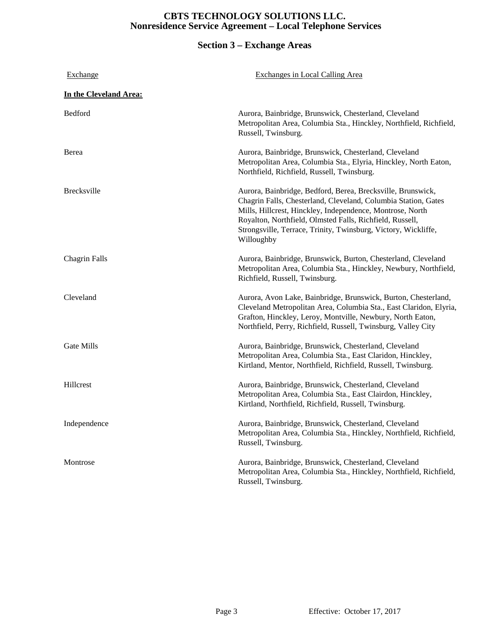## **Section 3 – Exchange Areas**

| <b>Exchange</b>        | <b>Exchanges in Local Calling Area</b>                                                                                                                                                                                                                                                                                                 |
|------------------------|----------------------------------------------------------------------------------------------------------------------------------------------------------------------------------------------------------------------------------------------------------------------------------------------------------------------------------------|
| In the Cleveland Area: |                                                                                                                                                                                                                                                                                                                                        |
| Bedford                | Aurora, Bainbridge, Brunswick, Chesterland, Cleveland<br>Metropolitan Area, Columbia Sta., Hinckley, Northfield, Richfield,<br>Russell, Twinsburg.                                                                                                                                                                                     |
| Berea                  | Aurora, Bainbridge, Brunswick, Chesterland, Cleveland<br>Metropolitan Area, Columbia Sta., Elyria, Hinckley, North Eaton,<br>Northfield, Richfield, Russell, Twinsburg.                                                                                                                                                                |
| <b>Brecksville</b>     | Aurora, Bainbridge, Bedford, Berea, Brecksville, Brunswick,<br>Chagrin Falls, Chesterland, Cleveland, Columbia Station, Gates<br>Mills, Hillcrest, Hinckley, Independence, Montrose, North<br>Royalton, Northfield, Olmsted Falls, Richfield, Russell,<br>Strongsville, Terrace, Trinity, Twinsburg, Victory, Wickliffe,<br>Willoughby |
| <b>Chagrin Falls</b>   | Aurora, Bainbridge, Brunswick, Burton, Chesterland, Cleveland<br>Metropolitan Area, Columbia Sta., Hinckley, Newbury, Northfield,<br>Richfield, Russell, Twinsburg.                                                                                                                                                                    |
| Cleveland              | Aurora, Avon Lake, Bainbridge, Brunswick, Burton, Chesterland,<br>Cleveland Metropolitan Area, Columbia Sta., East Claridon, Elyria,<br>Grafton, Hinckley, Leroy, Montville, Newbury, North Eaton,<br>Northfield, Perry, Richfield, Russell, Twinsburg, Valley City                                                                    |
| <b>Gate Mills</b>      | Aurora, Bainbridge, Brunswick, Chesterland, Cleveland<br>Metropolitan Area, Columbia Sta., East Claridon, Hinckley,<br>Kirtland, Mentor, Northfield, Richfield, Russell, Twinsburg.                                                                                                                                                    |
| Hillcrest              | Aurora, Bainbridge, Brunswick, Chesterland, Cleveland<br>Metropolitan Area, Columbia Sta., East Clairdon, Hinckley,<br>Kirtland, Northfield, Richfield, Russell, Twinsburg.                                                                                                                                                            |
| Independence           | Aurora, Bainbridge, Brunswick, Chesterland, Cleveland<br>Metropolitan Area, Columbia Sta., Hinckley, Northfield, Richfield,<br>Russell, Twinsburg.                                                                                                                                                                                     |
| Montrose               | Aurora, Bainbridge, Brunswick, Chesterland, Cleveland<br>Metropolitan Area, Columbia Sta., Hinckley, Northfield, Richfield,<br>Russell, Twinsburg.                                                                                                                                                                                     |